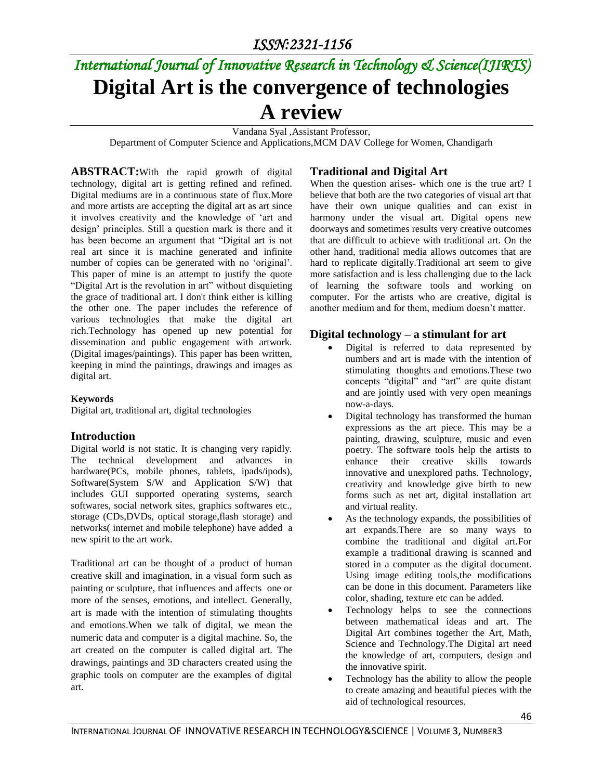# *International Journal of Innovative Research in Technology & Science(IJIRTS)* **Digital Art is the convergence of technologies A review**

Vandana Syal ,Assistant Professor,

Department of Computer Science and Applications,MCM DAV College for Women, Chandigarh

**ABSTRACT:**With the rapid growth of digital technology, digital art is getting refined and refined. Digital mediums are in a continuous state of flux.More and more artists are accepting the digital art as art since it involves creativity and the knowledge of 'art and design' principles. Still a question mark is there and it has been become an argument that "Digital art is not real art since it is machine generated and infinite number of copies can be generated with no 'original'. This paper of mine is an attempt to justify the quote "Digital Art is the revolution in art" without disquieting the grace of traditional art. I don't think either is killing the other one. The paper includes the reference of various technologies that make the digital art rich.Technology has opened up new potential for dissemination and public engagement with artwork. (Digital images/paintings). This paper has been written, keeping in mind the paintings, drawings and images as digital art.

#### **Keywords**

Digital art, traditional art, digital technologies

#### **Introduction**

Digital world is not static. It is changing very rapidly. The technical development and advances in hardware(PCs, mobile phones, tablets, ipads/ipods), Software(System S/W and Application S/W) that includes GUI supported operating systems, search softwares, social network sites, graphics softwares etc., storage (CDs,DVDs, optical storage,flash storage) and networks( internet and mobile telephone) have added a new spirit to the art work.

Traditional art can be thought of a product of human creative skill and imagination, in a visual form such as painting or sculpture, that influences and affects one or more of the senses, emotions, and intellect. Generally, art is made with the intention of stimulating thoughts and emotions.When we talk of digital, we mean the numeric data and computer is a digital machine. So, the art created on the computer is called digital art. The drawings, paintings and 3D characters created using the graphic tools on computer are the examples of digital art.

#### **Traditional and Digital Art**

When the question arises- which one is the true art? I believe that both are the two categories of visual art that have their own unique qualities and can exist in harmony under the visual art. Digital opens new doorways and sometimes results very creative outcomes that are difficult to achieve with traditional art. On the other hand, traditional media allows outcomes that are hard to replicate digitally.Traditional art seem to give more satisfaction and is less challenging due to the lack of learning the software tools and working on computer. For the artists who are creative, digital is another medium and for them, medium doesn't matter.

#### **Digital technology – a stimulant for art**

- Digital is referred to data represented by numbers and art is made with the intention of stimulating thoughts and emotions.These two concepts "digital" and "art" are quite distant and are jointly used with very open meanings now-a-days.
- Digital technology has transformed the human expressions as the art piece. This may be a painting, drawing, sculpture, music and even poetry. The software tools help the artists to enhance their creative skills towards innovative and unexplored paths. Technology, creativity and knowledge give birth to new forms such as net art, digital installation art and virtual reality.
- As the technology expands, the possibilities of art expands.There are so many ways to combine the traditional and digital art.For example a traditional drawing is scanned and stored in a computer as the digital document. Using image editing tools,the modifications can be done in this document. Parameters like color, shading, texture etc can be added.
- Technology helps to see the connections between mathematical ideas and art. The Digital Art combines together the Art, Math, Science and Technology.The Digital art need the knowledge of art, computers, design and the innovative spirit.
- Technology has the ability to allow the people to create amazing and beautiful pieces with the aid of technological resources.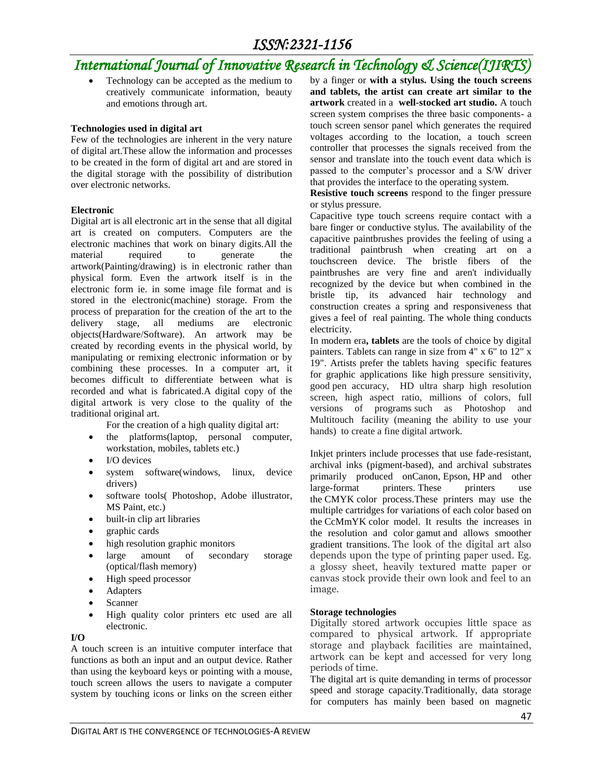## *ISSN:2321-1156*

# *International Journal of Innovative Research in Technology & Science(IJIRTS)*

 Technology can be accepted as the medium to creatively communicate information, beauty and emotions through art.

#### **Technologies used in digital art**

Few of the technologies are inherent in the very nature of digital art.These allow the information and processes to be created in the form of digital art and are stored in the digital storage with the possibility of distribution over electronic networks.

#### **Electronic**

Digital art is all electronic art in the sense that all digital art is created on computers. Computers are the electronic machines that work on binary digits.All the material required to generate the artwork(Painting/drawing) is in electronic rather than physical form. Even the artwork itself is in the electronic form ie. in some image file format and is stored in the electronic(machine) storage. From the process of preparation for the creation of the art to the delivery stage, all mediums are electronic objects(Hardware/Software). An artwork may be created by recording events in the physical world, by manipulating or remixing electronic information or by combining these processes. In a computer art, it becomes difficult to differentiate between what is recorded and what is fabricated.A digital copy of the digital artwork is very close to the quality of the traditional original art.

For the creation of a high quality digital art:

- the platforms(laptop, personal computer, workstation, mobiles, tablets etc.)
- I/O devices
- system software(windows, linux, device drivers)
- software tools( Photoshop, Adobe illustrator, MS Paint, etc.)
- built-in clip art libraries
- graphic cards
- high resolution graphic monitors
- large amount of secondary storage (optical/flash memory)
- High speed processor
- Adapters
- Scanner
- High quality color printers etc used are all electronic.

#### **I/O**

A touch screen is an intuitive computer interface that functions as both an input and an output device. Rather than using the keyboard keys or pointing with a mouse, touch screen allows the users to navigate a computer system by touching icons or links on the screen either

by a finger or **with a stylus. Using the touch screens and tablets, the artist can create art similar to the artwork** created in a **well-stocked art studio.** A touch screen system comprises the three basic components- a touch screen sensor panel which generates the required voltages according to the location, a touch screen controller that processes the signals received from the sensor and translate into the touch event data which is passed to the computer's processor and a S/W driver that provides the interface to the operating system.

**Resistive touch screens** respond to the finger pressure or stylus pressure.

Capacitive type touch screens require contact with a bare finger or conductive stylus. The availability of the capacitive paintbrushes provides the feeling of using a traditional paintbrush when creating art on a touchscreen device. The bristle fibers of the paintbrushes are very fine and aren't individually recognized by the device but when combined in the bristle tip, its advanced hair technology and construction creates a spring and responsiveness that gives a feel of real painting. The whole thing conducts electricity.

In modern era**, tablets** are the tools of choice by digital painters. Tablets can range in size from 4" x 6" to 12" x 19". Artists prefer the tablets having specific features for graphic applications like high pressure sensitivity, good pen accuracy, HD ultra sharp high resolution screen, high aspect ratio, millions of colors, full versions of programs such as Photoshop and Multitouch facility (meaning the ability to use your hands) to create a fine digital artwork.

Inkjet printers include processes that use fade-resistant, archival inks (pigment-based), and archival substrates primarily produced onCanon, Epson, HP and other large-format printers. These printers use the CMYK color process.These printers may use the multiple cartridges for variations of each color based on the CcMmYK color model. It results the increases in the resolution and color gamut and allows smoother gradient transitions. The look of the digital art also depends upon the type of printing paper used. Eg. a glossy sheet, heavily textured matte paper or canvas stock provide their own look and feel to an image.

#### **Storage technologies**

Digitally stored artwork occupies little space as compared to physical artwork. If appropriate storage and playback facilities are maintained, artwork can be kept and accessed for very long periods of time.

The digital art is quite demanding in terms of processor speed and storage capacity.Traditionally, data storage for computers has mainly been based on magnetic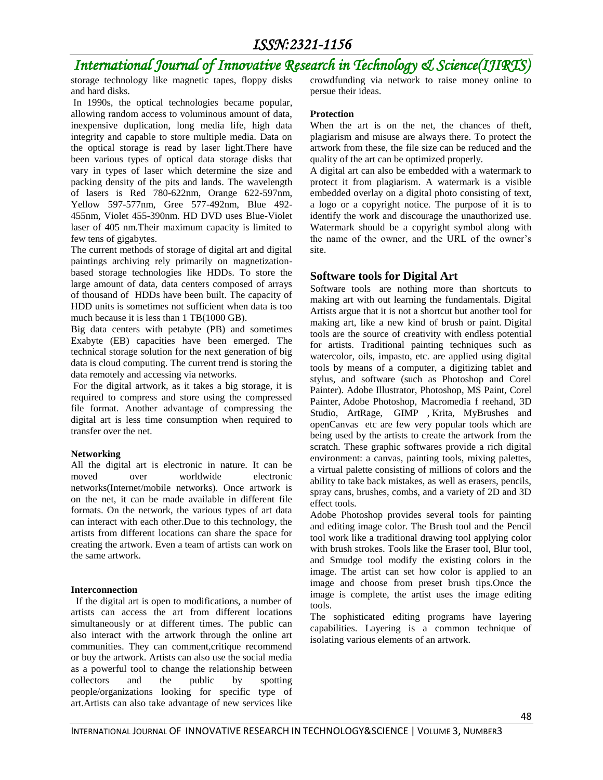### *ISSN:2321-1156*

# *International Journal of Innovative Research in Technology & Science(IJIRTS)*

storage technology like magnetic tapes, floppy disks and hard disks.

In 1990s, the optical technologies became popular, allowing random access to voluminous amount of data, inexpensive duplication, long media life, high data integrity and capable to store multiple media. Data on the optical storage is read by laser light.There have been various types of optical data storage disks that vary in types of laser which determine the size and packing density of the pits and lands. The wavelength of lasers is Red 780-622nm, Orange 622-597nm, Yellow 597-577nm, Gree 577-492nm, Blue 492- 455nm, Violet 455-390nm. HD DVD uses Blue-Violet laser of 405 nm.Their maximum capacity is limited to few tens of gigabytes.

The current methods of storage of digital art and digital paintings archiving rely primarily on magnetizationbased storage technologies like HDDs. To store the large amount of data, data centers composed of arrays of thousand of HDDs have been built. The capacity of HDD units is sometimes not sufficient when data is too much because it is less than 1 TB(1000 GB).

Big data centers with petabyte (PB) and sometimes Exabyte (EB) capacities have been emerged. The technical storage solution for the next generation of big data is cloud computing. The current trend is storing the data remotely and accessing via networks.

For the digital artwork, as it takes a big storage, it is required to compress and store using the compressed file format. Another advantage of compressing the digital art is less time consumption when required to transfer over the net.

#### **Networking**

All the digital art is electronic in nature. It can be moved over worldwide electronic networks(Internet/mobile networks). Once artwork is on the net, it can be made available in different file formats. On the network, the various types of art data can interact with each other.Due to this technology, the artists from different locations can share the space for creating the artwork. Even a team of artists can work on the same artwork.

#### **Interconnection**

If the digital art is open to modifications, a number of artists can access the art from different locations simultaneously or at different times. The public can also interact with the artwork through the online art communities. They can comment,critique recommend or buy the artwork. Artists can also use the social media as a powerful tool to change the relationship between collectors and the public by spotting people/organizations looking for specific type of art.Artists can also take advantage of new services like

crowdfunding via network to raise money online to persue their ideas.

#### **Protection**

When the art is on the net, the chances of theft, plagiarism and misuse are always there. To protect the artwork from these, the file size can be reduced and the quality of the art can be optimized properly.

A digital art can also be embedded with a watermark to protect it from plagiarism. A watermark is a visible embedded overlay on a digital photo consisting of text, a logo or a copyright notice. The purpose of it is to identify the work and discourage the unauthorized use. Watermark should be a copyright symbol along with the name of the owner, and the URL of the owner's site.

#### **Software tools for Digital Art**

Software tools are nothing more than shortcuts to making art with out learning the fundamentals. Digital Artists argue that it is not a shortcut but another tool for making art, like a new kind of brush or paint. Digital tools are the source of creativity with endless potential for artists. Traditional painting techniques such as watercolor, oils, impasto, etc. are applied using digital tools by means of a computer, a digitizing tablet and stylus, and software (such as Photoshop and Corel Painter). Adobe Illustrator, Photoshop, MS Paint, Corel Painter, Adobe Photoshop, Macromedia f reehand, 3D Studio, ArtRage, GIMP , Krita, MyBrushes and openCanvas etc are few very popular tools which are being used by the artists to create the artwork from the scratch. These graphic softwares provide a rich digital environment: a canvas, painting tools, mixing palettes, a virtual palette consisting of millions of colors and the ability to take back mistakes, as well as erasers, pencils, spray cans, brushes, combs, and a variety of 2D and 3D effect tools.

Adobe Photoshop provides several tools for painting and editing image color. The Brush tool and the Pencil tool work like a traditional drawing tool applying color with brush strokes. Tools like the Eraser tool, Blur tool, and Smudge tool modify the existing colors in the image. The artist can set how color is applied to an image and choose from preset brush tips.Once the image is complete, the artist uses the image editing tools.

The sophisticated editing programs have layering capabilities. Layering is a common technique of isolating various elements of an artwork.